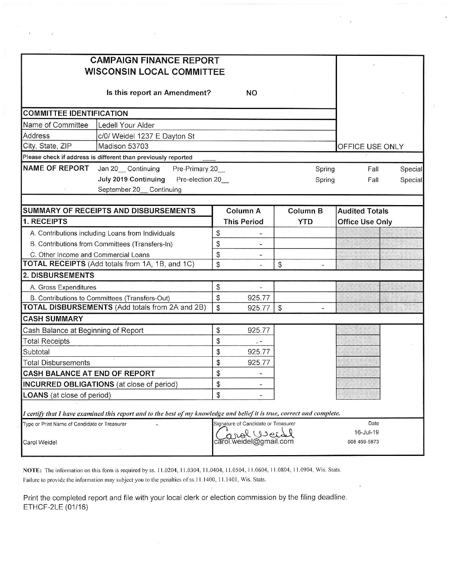| <b>CAMPAIGN FINANCE REPORT</b><br><b>WISCONSIN LOCAL COMMITTEE</b>                                                      |                |                              |                |        |                        |  |         |
|-------------------------------------------------------------------------------------------------------------------------|----------------|------------------------------|----------------|--------|------------------------|--|---------|
| Is this report an Amendment?                                                                                            |                | <b>NO</b>                    |                |        |                        |  |         |
| <b>COMMITTEE IDENTIFICATION</b>                                                                                         |                |                              |                |        |                        |  |         |
| Name of Committee<br>Ledell Your Alder                                                                                  |                |                              |                |        |                        |  |         |
| Address<br>c/0/ Weidel 1237 E Dayton St                                                                                 |                |                              |                |        |                        |  |         |
| City, State, ZIP<br>Madison 53703                                                                                       |                |                              |                |        | OFFICE USE ONLY        |  |         |
| Please check if address is different than previously reported                                                           |                |                              |                |        |                        |  |         |
| <b>NAME OF REPORT</b><br>Jan 20 Continuing<br>Pre-Primary 20_                                                           |                |                              |                | Spring | Fall                   |  | Special |
| July 2019 Continuing<br>Pre-election 20_<br>Spring<br>September 20_ Continuing                                          |                |                              | Fall           |        | Special                |  |         |
| <b>SUMMARY OF RECEIPTS AND DISBURSEMENTS</b>                                                                            |                | Column A                     | Column B       |        | <b>Audited Totals</b>  |  |         |
| 1. RECEIPTS                                                                                                             |                | <b>This Period</b>           | <b>YTD</b>     |        | <b>Office Use Only</b> |  |         |
| A. Contributions including Loans from Individuals                                                                       | \$             |                              |                |        |                        |  |         |
| B. Contributions from Committees (Transfers-In)                                                                         | \$             |                              |                |        |                        |  |         |
| C. Other Income and Commercial Loans                                                                                    | \$             | $\qquad \qquad \blacksquare$ |                |        |                        |  |         |
| TOTAL RECEIPTS (Add totals from 1A, 1B, and 1C)                                                                         | $\mathfrak{S}$ |                              | $\mathfrak{P}$ |        |                        |  |         |
| 2. DISBURSEMENTS                                                                                                        |                |                              |                |        |                        |  |         |
| A. Gross Expenditures                                                                                                   | \$             |                              |                |        |                        |  |         |
| B. Contributions to Committees (Transfers-Out)                                                                          | \$             | 925.77                       |                |        |                        |  |         |
| TOTAL DISBURSEMENTS (Add totals from 2A and 2B)                                                                         | $\mathfrak{S}$ | 925.77                       | \$             |        |                        |  |         |
| <b>CASH SUMMARY</b>                                                                                                     |                |                              |                |        |                        |  |         |
| Cash Balance at Beginning of Report                                                                                     | \$             | 925.77                       |                |        |                        |  |         |
| <b>Total Receipts</b>                                                                                                   | $\mathfrak{S}$ | $\omega_{\rm{c}}$            |                |        |                        |  |         |
| Subtotal                                                                                                                | \$             | 925.77                       |                |        |                        |  |         |
| <b>Total Disbursements</b>                                                                                              | \$             | 925.77                       |                |        |                        |  |         |
| <b>CASH BALANCE AT END OF REPORT</b>                                                                                    | \$             |                              |                |        |                        |  |         |
| INCURRED OBLIGATIONS (at close of period)                                                                               | \$             |                              |                |        |                        |  |         |
| <b>LOANS</b> (at close of period)                                                                                       | \$             |                              |                |        |                        |  |         |
| I certify that I have examined this report and to the best of my knowledge and belief it is true, correct and complete. |                |                              |                |        |                        |  |         |
| Signature of Candidate or Treasurer<br>Date<br>Type or Print Name of Candidate or Treasurer                             |                |                              |                |        |                        |  |         |
| 16-Jul-19<br>mol Weidd<br>carol.weidel@gmail.com<br>608 469-5873<br>Carol Weidel                                        |                |                              |                |        |                        |  |         |

NOTE: The information on this form is required by ss. 11.0204, 11.0304, 11.0404, 11.0504, 11.0604, 11.0804, 11.0904, Wis. Stats. Failure to provide the information may subject you to the penalties of ss.11.1400, 11.1401, Wis. Stats.

Print the completed report and file with your local clerk or election commission by the filing deadline. ETHCF-2LE (01/16)

.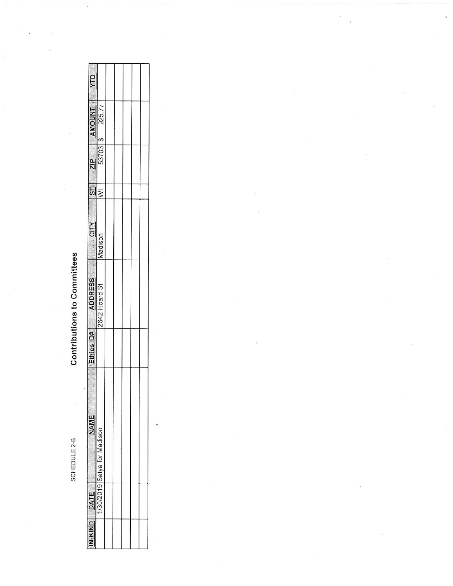SCHEDULE 2-B

## **Contributions to Committees**

é

| <b>MID</b>    |                                                                                                                                                                                                                                                                                                                                                                                                              |  |  |  |
|---------------|--------------------------------------------------------------------------------------------------------------------------------------------------------------------------------------------------------------------------------------------------------------------------------------------------------------------------------------------------------------------------------------------------------------|--|--|--|
|               | $\begin{array}{ c c c }\hline \textbf{AMOUNIT} & \textbf{1} & \textbf{2} & \textbf{3} & \textbf{5} & \textbf{77} & \textbf{8} & \textbf{10} & \textbf{10} & \textbf{10} & \textbf{10} & \textbf{10} & \textbf{10} & \textbf{10} & \textbf{10} & \textbf{10} & \textbf{10} & \textbf{10} & \textbf{10} & \textbf{10} & \textbf{10} & \textbf{10} & \textbf{10} & \textbf{10} & \textbf{10} & \textbf{10} & \$ |  |  |  |
| $rac{2}{2}$   | 53703 \$                                                                                                                                                                                                                                                                                                                                                                                                     |  |  |  |
| $\frac{1}{2}$ | $\overline{\overline{z}}$                                                                                                                                                                                                                                                                                                                                                                                    |  |  |  |
| $\frac{N}{2}$ | hadison                                                                                                                                                                                                                                                                                                                                                                                                      |  |  |  |
|               | ADDRESS<br>2642 Hoard St                                                                                                                                                                                                                                                                                                                                                                                     |  |  |  |
| $2thics 1D#$  |                                                                                                                                                                                                                                                                                                                                                                                                              |  |  |  |
| JATE          | Satva for Madisor<br>$-20/2015$                                                                                                                                                                                                                                                                                                                                                                              |  |  |  |
| ž             |                                                                                                                                                                                                                                                                                                                                                                                                              |  |  |  |